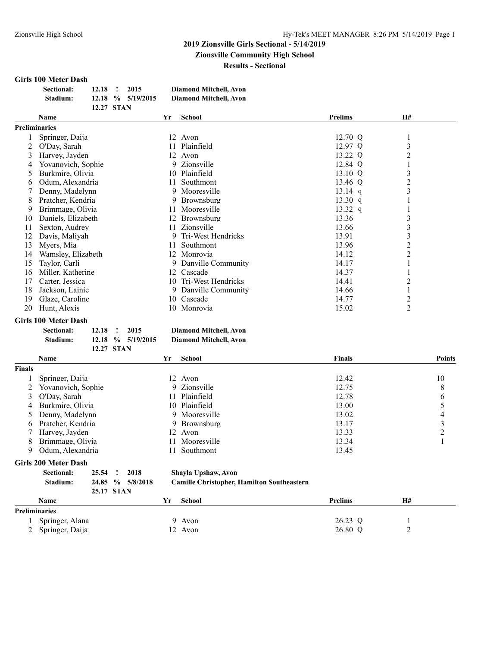#### **2019 Zionsville Girls Sectional - 5/14/2019 Zionsville Community High School Results - Sectional**

#### **Girls 100 Meter Dash**

| <b>Sectional:</b> | $12.18$ !  | 2015                | <b>Diamond Mitchell, Avon</b> |
|-------------------|------------|---------------------|-------------------------------|
| Stadium:          |            | $12.18\%$ 5/19/2015 | Diamond Mitchell, Avon        |
|                   | 12.27 STAN |                     |                               |

|                      | <b>Name</b>        | Yr  | <b>School</b>      | <b>Prelims</b> | <b>H#</b>      |  |
|----------------------|--------------------|-----|--------------------|----------------|----------------|--|
| <b>Preliminaries</b> |                    |     |                    |                |                |  |
|                      | Springer, Daija    |     | 12 Avon            | 12.70 Q        |                |  |
|                      | O'Day, Sarah       | 11  | Plainfield         | $12.97$ Q      | 3              |  |
| 3                    | Harvey, Jayden     | 12  | Avon               | 13.22 Q        | 2              |  |
| 4                    | Yovanovich, Sophie |     | 9 Zionsville       | 12.84 Q        |                |  |
| 5                    | Burkmire, Olivia   | 10  | Plainfield         | 13.10 Q        | 3              |  |
| 6                    | Odum, Alexandria   | 11  | Southmont          | 13.46 Q        | $\overline{c}$ |  |
|                      | Denny, Madelynn    |     | 9 Mooresville      | $13.14$ q      | 3              |  |
| 8                    | Pratcher, Kendria  | 9.  | Brownsburg         | 13.30 q        |                |  |
| 9                    | Brimmage, Olivia   | 11  | Mooresville        | 13.32 q        |                |  |
| 10                   | Daniels, Elizabeth | 12  | <b>Brownsburg</b>  | 13.36          | 3              |  |
| 11                   | Sexton, Audrey     | 11. | Zionsville         | 13.66          | 3              |  |
| 12                   | Davis, Maliyah     | 9   | Tri-West Hendricks | 13.91          | 3              |  |
| 13                   | Myers, Mia         | 11  | Southmont          | 13.96          | 2              |  |
| 14                   | Wamsley, Elizabeth | 12  | Monrovia           | 14.12          | 2              |  |
| 15                   | Taylor, Carli      | 9.  | Danville Community | 14.17          |                |  |
| 16                   | Miller, Katherine  | 12  | Cascade            | 14.37          |                |  |
| 17                   | Carter, Jessica    | 10  | Tri-West Hendricks | 14.41          | 2              |  |
| 18                   | Jackson, Lainie    | 9.  | Danville Community | 14.66          |                |  |
| 19                   | Glaze, Caroline    | 10  | Cascade            | 14.77          | 2              |  |
| 20                   | Hunt, Alexis       |     | 10 Monrovia        | 15.02          | 2              |  |

#### **Girls 100 Meter Dash**

| <b>Sectional:</b> | 12.18      | 2015                | Diamond Mitchell, Avon        |
|-------------------|------------|---------------------|-------------------------------|
| Stadium:          |            | $12.18\%$ 5/19/2015 | <b>Diamond Mitchell, Avon</b> |
|                   | 12.27 STAN |                     |                               |

|        | <b>Name</b>                                   | Yr | School         | <b>Finals</b> | <b>Points</b> |
|--------|-----------------------------------------------|----|----------------|---------------|---------------|
| Finals |                                               |    |                |               |               |
|        | Springer, Daija                               |    | 12 Avon        | 12.42         | 10            |
|        | 2 Yovanovich, Sophie                          |    | 9 Zionsville   | 12.75         | 8             |
|        | 3 O'Day, Sarah                                |    | 11 Plainfield  | 12.78         | b             |
| 4      | Burkmire, Olivia                              |    | 10 Plainfield  | 13.00         |               |
|        | Denny, Madelynn                               |    | 9 Mooresville  | 13.02         | 4             |
| 6      | Pratcher, Kendria                             |    | 9 Brownsburg   | 13.17         |               |
|        | 7 Harvey, Jayden                              |    | 12 Avon        | 13.33         |               |
| 8      | Brimmage, Olivia                              |    | 11 Mooresville | 13.34         |               |
| 9      | Odum, Alexandria                              |    | Southmont      | 13.45         |               |
|        | $\alpha$ , and $\alpha$ , $\alpha$ , $\alpha$ |    |                |               |               |

#### **Girls 200 Meter Dash**

| Sectional: | 25.54 ! 2018 |                  |
|------------|--------------|------------------|
| Stadium:   |              | 24.85 % 5/8/2018 |
|            | 25.17 STAN   |                  |

 $Shayla Upshaw, Avon$ 

#### **Stadium: 24.85 % 5/8/2018 Camille Christopher, Hamilton Southeastern**

| $\sim$               |              |                |    |  |
|----------------------|--------------|----------------|----|--|
| <b>Name</b>          | School<br>٢r | <b>Prelims</b> | H# |  |
| <b>Preliminaries</b> |              |                |    |  |
| Springer, Alana      | 9 Avon       | 26.23 Q        |    |  |
| Springer, Daija      | Avon         | 26.80 Q        | ∼  |  |
|                      |              |                |    |  |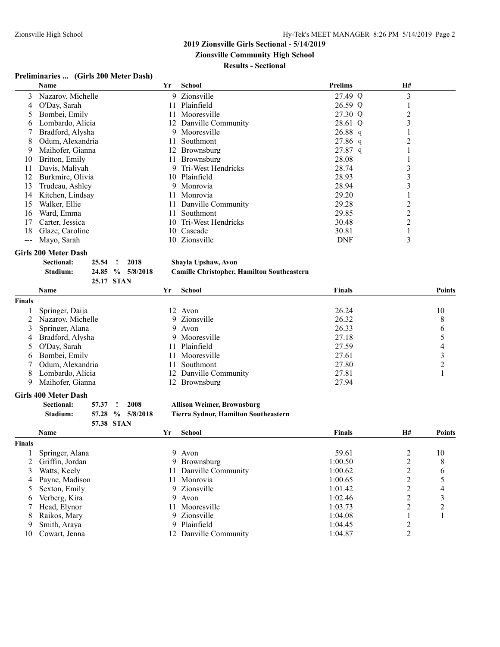**Zionsville Community High School**

#### **Results - Sectional**

#### **Preliminaries ... (Girls 200 Meter Dash)**

|     | <b>Name</b>       | Yr  | School                | <b>Prelims</b> | <b>H#</b> |  |
|-----|-------------------|-----|-----------------------|----------------|-----------|--|
| 3   | Nazarov, Michelle |     | 9 Zionsville          | 27.49 Q        | 3         |  |
| 4   | O'Day, Sarah      | 11  | Plainfield            | 26.59 Q        |           |  |
|     | Bombei, Emily     | 11. | Mooresville           | 27.30 Q        |           |  |
| 6   | Lombardo, Alicia  |     | 12 Danville Community | 28.61 Q        | 3         |  |
|     | Bradford, Alysha  |     | 9 Mooresville         | $26.88$ q      |           |  |
| 8   | Odum, Alexandria  | 11  | Southmont             | $27.86$ q      |           |  |
| 9   | Maihofer, Gianna  |     | 12 Brownsburg         | $27.87$ q      |           |  |
| 10  | Britton, Emily    |     | 11 Brownsburg         | 28.08          |           |  |
|     | Davis, Maliyah    |     | 9 Tri-West Hendricks  | 28.74          |           |  |
|     | Burkmire, Olivia  |     | 10 Plainfield         | 28.93          | 3         |  |
| 13  | Trudeau, Ashley   |     | 9 Monrovia            | 28.94          |           |  |
| 14  | Kitchen, Lindsay  | 11  | Monrovia              | 29.20          |           |  |
| 15  | Walker, Ellie     | 11  | Danville Community    | 29.28          |           |  |
| 16  | Ward, Emma        | 11  | Southmont             | 29.85          |           |  |
|     | Carter, Jessica   | 10  | Tri-West Hendricks    | 30.48          |           |  |
| 18  | Glaze, Caroline   | 10  | Cascade               | 30.81          |           |  |
| --- | Mayo, Sarah       |     | 10 Zionsville         | <b>DNF</b>     | 3         |  |

#### **Girls 200 Meter Dash**

| Sectional: | 25.54 ! 2018 |                  |
|------------|--------------|------------------|
| Stadium:   |              | 24.85 % 5/8/2018 |
|            | 25.17 STAN   |                  |

#### $Shayla Upshaw, Avon$ **Stadium: 24.85 % 5/8/2018 Camille Christopher, Hamilton Southeastern**

|               | <b>Name</b>         | Yr               | School                | <b>Finals</b> | Points       |
|---------------|---------------------|------------------|-----------------------|---------------|--------------|
| <b>Finals</b> |                     |                  |                       |               |              |
|               | Springer, Daija     |                  | 12 Avon               | 26.24         | 10           |
|               | 2 Nazarov, Michelle |                  | 9 Zionsville          | 26.32         | 8            |
|               | 3 Springer, Alana   |                  | 9 Avon                | 26.33         | <sub>b</sub> |
|               | 4 Bradford, Alysha  |                  | 9 Mooresville         | 27.18         |              |
|               | O'Day, Sarah        |                  | 11 Plainfield         | 27.59         | 4            |
| 6.            | Bombei, Emily       |                  | 11 Mooresville        | 27.61         |              |
|               | Odum, Alexandria    | 11.              | Southmont             | 27.80         |              |
| 8.            | Lombardo, Alicia    |                  | 12 Danville Community | 27.81         |              |
|               | Maihofer, Gianna    | 12 <sup>12</sup> | <b>Brownsburg</b>     | 27.94         |              |

#### **Girls 400 Meter Dash**

| <b>Sectional:</b> | 57.37 ! 2008 |                  |
|-------------------|--------------|------------------|
| Stadium:          |              | 57.28 % 5/8/2018 |
|                   | 57.38 STAN   |                  |

#### **Sectional: 57.37 ! 2008 Allison Weimer, Brownsburg**

**Stadium: 57.28 % 5/8/2018 Tierra Sydnor, Hamilton Southeastern**

|               | <b>Name</b>       | Yr | School                | Finals  | <b>H#</b> | Points        |
|---------------|-------------------|----|-----------------------|---------|-----------|---------------|
| <b>Finals</b> |                   |    |                       |         |           |               |
|               | Springer, Alana   |    | 9 Avon                | 59.61   |           | 10            |
|               | 2 Griffin, Jordan |    | 9 Brownsburg          | 1:00.50 |           | 8             |
| 3             | Watts, Keely      |    | 11 Danville Community | 1:00.62 |           | $\mathfrak b$ |
| 4             | Payne, Madison    |    | Monrovia              | 1:00.65 |           |               |
|               | Sexton, Emily     |    | 9 Zionsville          | 1:01.42 |           | 4             |
| 6             | Verberg, Kira     |    | 9 Avon                | 1:02.46 |           | ◠             |
|               | Head, Elynor      |    | Mooresville           | 1:03.73 |           | ◠             |
| 8.            | Raikos, Mary      |    | 9 Zionsville          | 1:04.08 |           |               |
| 9             | Smith, Araya      |    | 9 Plainfield          | 1:04.45 |           |               |
| 10            | Cowart, Jenna     |    | 12 Danville Community | 1:04.87 |           |               |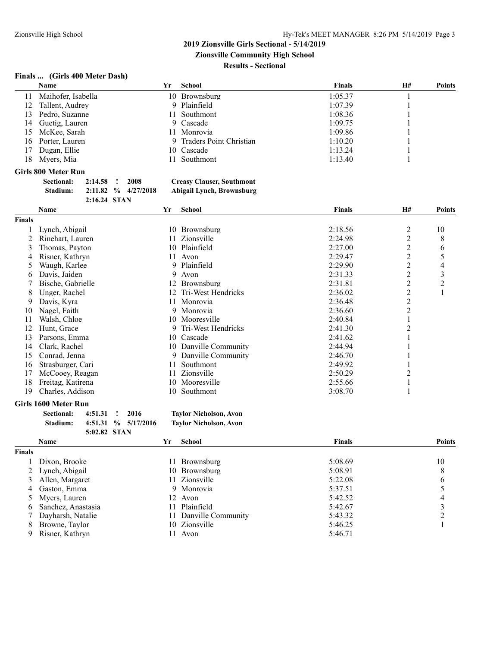**Zionsville Community High School**

#### **Results - Sectional**

#### **Finals ... (Girls 400 Meter Dash)**

|     | <b>Name</b>        | Υr | School                    | <b>Finals</b> | H# | <b>Points</b> |
|-----|--------------------|----|---------------------------|---------------|----|---------------|
| 11  | Maihofer, Isabella |    | 10 Brownsburg             | 1:05.37       |    |               |
| 12  | Tallent, Audrey    |    | 9 Plainfield              | 1:07.39       |    |               |
| 13. | Pedro, Suzanne     |    | 11 Southmont              | 1:08.36       |    |               |
| 14  | Guetig, Lauren     |    | 9 Cascade                 | 1:09.75       |    |               |
| 15. | McKee, Sarah       |    | 11 Monrovia               | 1:09.86       |    |               |
| 16. | Porter, Lauren     |    | 9 Traders Point Christian | 1:10.20       |    |               |
| 17  | Dugan, Ellie       |    | 10 Cascade                | 1:13.24       |    |               |
| 18  | Myers, Mia         |    | Southmont                 | 1:13.40       |    |               |

#### **Girls 800 Meter Run**

| <b>Sectional:</b> | 2:14.58      | 2008                    | <b>Creasy Clauser, Southmont</b> |
|-------------------|--------------|-------------------------|----------------------------------|
| Stadium:          |              | $2:11.82$ % $4/27/2018$ | Abigail Lynch, Brownsburg        |
|                   | 2:16.24 STAN |                         |                                  |

|               | Name              | Yr | School             | <b>Finals</b> | H#             | <b>Points</b> |
|---------------|-------------------|----|--------------------|---------------|----------------|---------------|
| <b>Finals</b> |                   |    |                    |               |                |               |
|               | Lynch, Abigail    | 10 | <b>Brownsburg</b>  | 2:18.56       | 2              | 10            |
|               | Rinehart, Lauren  |    | 11 Zionsville      | 2:24.98       | 2              | 8             |
| 3             | Thomas, Payton    |    | 10 Plainfield      | 2:27.00       | 2              | 6             |
| 4             | Risner, Kathryn   | 11 | Avon               | 2:29.47       | 2              | 5             |
| 5             | Waugh, Karlee     |    | 9 Plainfield       | 2:29.90       | 2              | 4             |
| 6             | Davis, Jaiden     | 9. | Avon               | 2:31.33       | $\overline{c}$ | 3             |
|               | Bische, Gabrielle |    | 12 Brownsburg      | 2:31.81       | 2              | 2             |
| 8             | Unger, Rachel     | 12 | Tri-West Hendricks | 2:36.02       | $\overline{c}$ |               |
| 9             | Davis, Kyra       | 11 | Monrovia           | 2:36.48       | $\overline{c}$ |               |
| 10            | Nagel, Faith      | 9  | Monrovia           | 2:36.60       | 2              |               |
| 11            | Walsh, Chloe      |    | 10 Mooresville     | 2:40.84       |                |               |
| 12            | Hunt, Grace       | 9. | Tri-West Hendricks | 2:41.30       | 2              |               |
| 13            | Parsons, Emma     | 10 | Cascade            | 2:41.62       |                |               |
| 14            | Clark, Rachel     | 10 | Danville Community | 2:44.94       |                |               |
| 15            | Conrad, Jenna     | 9. | Danville Community | 2:46.70       |                |               |
| 16            | Strasburger, Cari | 11 | Southmont          | 2:49.92       |                |               |
| 17            | McCooey, Reagan   | 11 | Zionsville         | 2:50.29       |                |               |
| 18            | Freitag, Katirena | 10 | Mooresville        | 2:55.66       |                |               |
| 19            | Charles, Addison  | 10 | Southmont          | 3:08.70       |                |               |

#### **Girls 1600 Meter Run**

| Sectional: | 4:51.31 ! | -2016                  | <b>Taylor Nicholson, Avon</b> |
|------------|-----------|------------------------|-------------------------------|
| Stadium:   |           | $4:51.31 \% 5/17/2016$ | <b>Taylor Nicholson, Avon</b> |

**5:02.82 STAN**

# **Sectional: 4:51.31 ! 2016 Taylor Nicholson, Avon**

|               | <b>Name</b>         |  | School                | <b>Finals</b> | <b>Points</b> |  |
|---------------|---------------------|--|-----------------------|---------------|---------------|--|
| <b>Finals</b> |                     |  |                       |               |               |  |
|               | Dixon, Brooke       |  | 11 Brownsburg         | 5:08.69       | 10            |  |
|               | 2 Lynch, Abigail    |  | 10 Brownsburg         | 5:08.91       | 8             |  |
|               | Allen, Margaret     |  | 11 Zionsville         | 5:22.08       | 6             |  |
| 4             | Gaston, Emma        |  | 9 Monrovia            | 5:37.51       |               |  |
|               | 5 Myers, Lauren     |  | 12 Avon               | 5:42.52       | 4             |  |
| 6             | Sanchez, Anastasia  |  | 11 Plainfield         | 5:42.67       |               |  |
|               | 7 Dayharsh, Natalie |  | 11 Danville Community | 5:43.32       |               |  |
| 8             | Browne, Taylor      |  | 10 Zionsville         | 5:46.25       |               |  |
| 9             | Risner, Kathryn     |  | 11 Avon               | 5:46.71       |               |  |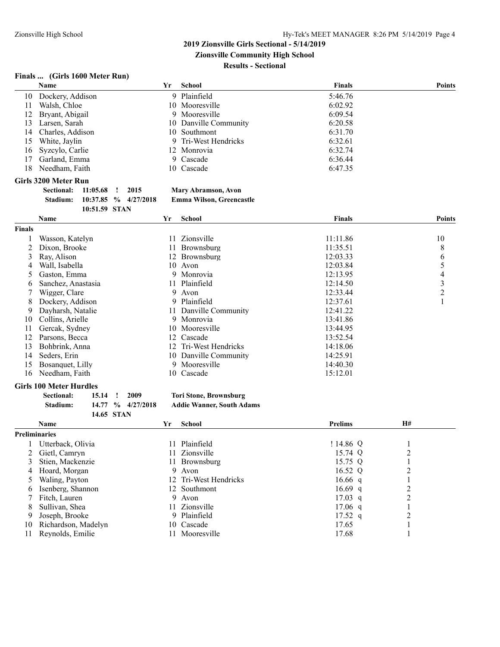**Zionsville Community High School**

**Results - Sectional**

### **Finals ... (Girls 1600 Meter Run)**

|                | Name                           |               |                            | Yr | School                           | <b>Finals</b>  |                         | <b>Points</b>            |
|----------------|--------------------------------|---------------|----------------------------|----|----------------------------------|----------------|-------------------------|--------------------------|
| 10             | Dockery, Addison               |               |                            |    | 9 Plainfield                     | 5:46.76        |                         |                          |
| 11             | Walsh, Chloe                   |               |                            |    | 10 Mooresville                   | 6:02.92        |                         |                          |
| 12             | Bryant, Abigail                |               |                            | 9  | Mooresville                      | 6:09.54        |                         |                          |
| 13             | Larsen, Sarah                  |               |                            | 10 | Danville Community               | 6:20.58        |                         |                          |
| 14             | Charles, Addison               |               |                            |    | 10 Southmont                     | 6:31.70        |                         |                          |
| 15             | White, Jaylin                  |               |                            | 9  | Tri-West Hendricks               | 6:32.61        |                         |                          |
| 16             | Syzcylo, Carlie                |               |                            |    | 12 Monrovia                      | 6:32.74        |                         |                          |
| 17             | Garland, Emma                  |               |                            | 9  | Cascade                          | 6:36.44        |                         |                          |
| 18             | Needham, Faith                 |               |                            |    | 10 Cascade                       | 6:47.35        |                         |                          |
|                |                                |               |                            |    |                                  |                |                         |                          |
|                | <b>Girls 3200 Meter Run</b>    |               |                            |    |                                  |                |                         |                          |
|                | <b>Sectional:</b>              | 11:05.68      | 2015<br>Ţ                  |    | Mary Abramson, Avon              |                |                         |                          |
|                | Stadium:                       | $10:37.85~\%$ | 4/27/2018                  |    | Emma Wilson, Greencastle         |                |                         |                          |
|                |                                | 10:51.59 STAN |                            |    |                                  |                |                         |                          |
|                | Name                           |               |                            | Yr | <b>School</b>                    | Finals         |                         | <b>Points</b>            |
| <b>Finals</b>  |                                |               |                            |    |                                  |                |                         |                          |
|                | Wasson, Katelyn                |               |                            |    | 11 Zionsville                    | 11:11.86       |                         | 10                       |
| $\overline{2}$ | Dixon, Brooke                  |               |                            |    | 11 Brownsburg                    | 11:35.51       |                         | 8                        |
| 3              | Ray, Alison                    |               |                            |    | 12 Brownsburg                    | 12:03.33       |                         | 6                        |
| 4              | Wall, Isabella                 |               |                            |    | 10 Avon                          | 12:03.84       |                         | 5                        |
| 5              | Gaston, Emma                   |               |                            |    | 9 Monrovia                       | 12:13.95       |                         | $\overline{\mathcal{A}}$ |
| 6              | Sanchez, Anastasia             |               |                            |    | 11 Plainfield                    | 12:14.50       |                         | $\overline{\mathbf{3}}$  |
| 7              | Wigger, Clare                  |               |                            |    | 9 Avon                           | 12:33.44       |                         | $\overline{2}$           |
| 8              | Dockery, Addison               |               |                            |    | 9 Plainfield                     | 12:37.61       |                         | 1                        |
| 9              | Dayharsh, Natalie              |               |                            |    | 11 Danville Community            | 12:41.22       |                         |                          |
| 10             | Collins, Arielle               |               |                            |    | 9 Monrovia                       | 13:41.86       |                         |                          |
| 11             | Gercak, Sydney                 |               |                            |    | 10 Mooresville                   | 13:44.95       |                         |                          |
|                |                                |               |                            |    | 12 Cascade                       |                |                         |                          |
| 12             | Parsons, Becca                 |               |                            |    |                                  | 13:52.54       |                         |                          |
| 13             | Bohbrink, Anna                 |               |                            |    | 12 Tri-West Hendricks            | 14:18.06       |                         |                          |
| 14             | Seders, Erin                   |               |                            |    | 10 Danville Community            | 14:25.91       |                         |                          |
| 15             | Bosanquet, Lilly               |               |                            | 9  | Mooresville                      | 14:40.30       |                         |                          |
| 16             | Needham, Faith                 |               |                            | 10 | Cascade                          | 15:12.01       |                         |                          |
|                | <b>Girls 100 Meter Hurdles</b> |               |                            |    |                                  |                |                         |                          |
|                | <b>Sectional:</b>              | 15.14         | 2009<br>Ţ                  |    | <b>Tori Stone, Brownsburg</b>    |                |                         |                          |
|                | Stadium:                       | 14.77         | $\frac{1}{2}$<br>4/27/2018 |    | <b>Addie Wanner, South Adams</b> |                |                         |                          |
|                |                                |               | 14.65 STAN                 |    |                                  |                |                         |                          |
|                | Name                           |               |                            | Yr | <b>School</b>                    | <b>Prelims</b> | H#                      |                          |
| Preliminaries  |                                |               |                            |    |                                  |                |                         |                          |
|                | Utterback, Olivia              |               |                            |    | 11 Plainfield                    | !14.86Q        | 1                       |                          |
| 2              | Gietl, Camryn                  |               |                            |    | 11 Zionsville                    | 15.74 Q        | $\overline{\mathbf{c}}$ |                          |
| 3              | Stien, Mackenzie               |               |                            |    | 11 Brownsburg                    | 15.75 Q        | 1                       |                          |
| 4              | Hoard, Morgan                  |               |                            |    | 9 Avon                           | 16.52 Q        | $\overline{\mathbf{c}}$ |                          |
| 5              | Waling, Payton                 |               |                            |    | 12 Tri-West Hendricks            | 16.66 $q$      | 1                       |                          |
|                | Isenberg, Shannon              |               |                            |    | 12 Southmont                     | 16.69 $q$      | $\overline{\mathbf{c}}$ |                          |
| 6              |                                |               |                            |    |                                  |                |                         |                          |
| 7              | Fitch, Lauren                  |               |                            | 9  | Avon                             | 17.03 q        | $\overline{c}$          |                          |
| 8              | Sullivan, Shea                 |               |                            | 11 | Zionsville                       | $17.06$ q      | $\mathbf{1}$            |                          |
| 9              | Joseph, Brooke                 |               |                            |    | 9 Plainfield                     | 17.52 $q$      | $\overline{\mathbf{c}}$ |                          |
| 10             | Richardson, Madelyn            |               |                            | 10 | Cascade                          | 17.65          | 1                       |                          |
| 11             | Reynolds, Emilie               |               |                            |    | 11 Mooresville                   | 17.68          |                         |                          |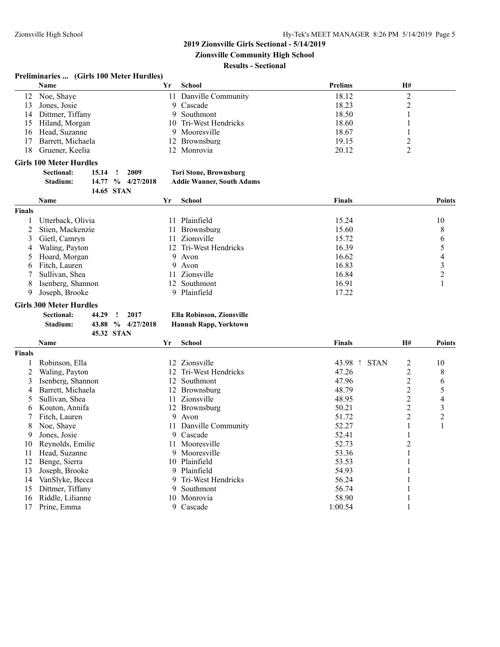**Zionsville Community High School**

#### **Results - Sectional**

#### **Preliminaries ... (Girls 100 Meter Hurdles)**

|                | Name                           |                            | Yr | <b>School</b>                    | Prelims                | H#             |                         |
|----------------|--------------------------------|----------------------------|----|----------------------------------|------------------------|----------------|-------------------------|
| 12             | Noe, Shaye                     |                            |    | 11 Danville Community            | 18.12                  | $\overline{c}$ |                         |
| 13             | Jones, Josie                   |                            |    | 9 Cascade                        | 18.23                  | $\overline{c}$ |                         |
| 14             | Dittmer, Tiffany               |                            | 9  | Southmont                        | 18.50                  | 1              |                         |
| 15             | Hiland, Morgan                 |                            | 10 | Tri-West Hendricks               | 18.60                  | 1              |                         |
| 16             | Head, Suzanne                  |                            | 9  | Mooresville                      | 18.67                  | 1              |                         |
| 17             | Barrett, Michaela              |                            |    | 12 Brownsburg                    | 19.15                  | $\overline{c}$ |                         |
| 18             | Gruener, Keelia                |                            |    | 12 Monrovia                      | 20.12                  | $\overline{2}$ |                         |
|                | <b>Girls 100 Meter Hurdles</b> |                            |    |                                  |                        |                |                         |
|                | <b>Sectional:</b><br>15.14     | Ţ<br>2009                  |    | <b>Tori Stone, Brownsburg</b>    |                        |                |                         |
|                | Stadium:<br>14.77              | $\%$<br>4/27/2018          |    | <b>Addie Wanner, South Adams</b> |                        |                |                         |
|                |                                | 14.65 STAN                 |    |                                  |                        |                |                         |
|                | Name                           |                            | Yr | <b>School</b>                    | <b>Finals</b>          |                | <b>Points</b>           |
| <b>Finals</b>  |                                |                            |    |                                  |                        |                |                         |
| 1              | Utterback, Olivia              |                            |    | 11 Plainfield                    | 15.24                  |                | 10                      |
| 2              | Stien, Mackenzie               |                            |    | 11 Brownsburg                    | 15.60                  |                | 8                       |
| 3              | Gietl, Camryn                  |                            | 11 | Zionsville                       | 15.72                  |                | 6                       |
| 4              | Waling, Payton                 |                            |    | 12 Tri-West Hendricks            | 16.39                  |                | 5                       |
| 5              | Hoard, Morgan                  |                            | 9  | Avon                             | 16.62                  |                | $\overline{\mathbf{4}}$ |
| 6              | Fitch, Lauren                  |                            | 9  | Avon                             | 16.83                  |                |                         |
|                | Sullivan, Shea                 |                            |    | 11 Zionsville                    | 16.84                  |                | $\frac{3}{2}$           |
| 8              | Isenberg, Shannon              |                            |    | 12 Southmont                     | 16.91                  |                | $\mathbf{1}$            |
|                | Joseph, Brooke                 |                            |    | 9 Plainfield                     | 17.22                  |                |                         |
| 9              |                                |                            |    |                                  |                        |                |                         |
|                | <b>Girls 300 Meter Hurdles</b> |                            |    |                                  |                        |                |                         |
|                | <b>Sectional:</b><br>44.29     | 2017<br>÷                  |    | <b>Ella Robinson, Zionsville</b> |                        |                |                         |
|                | Stadium:<br>43.88              | 4/27/2018<br>$\frac{6}{9}$ |    | <b>Hannah Rapp, Yorktown</b>     |                        |                |                         |
|                |                                | 45.32 STAN                 |    |                                  |                        |                |                         |
|                | Name                           |                            | Yr | <b>School</b>                    | <b>Finals</b>          | H#             | <b>Points</b>           |
| <b>Finals</b>  |                                |                            |    |                                  |                        |                |                         |
| 1              | Robinson, Ella                 |                            |    | 12 Zionsville                    | 43.98 !<br><b>STAN</b> | $\overline{c}$ | 10                      |
| $\overline{2}$ | Waling, Payton                 |                            | 12 | Tri-West Hendricks               | 47.26                  | $\overline{c}$ | 8                       |
| 3              | Isenberg, Shannon              |                            |    | 12 Southmont                     | 47.96                  | $\overline{2}$ | 6                       |
| 4              | Barrett, Michaela              |                            |    | 12 Brownsburg                    | 48.79                  | $\overline{c}$ | 5                       |
| 5              | Sullivan, Shea                 |                            |    | 11 Zionsville                    | 48.95                  | $\overline{c}$ | $\overline{4}$          |
| 6              | Kouton, Annifa                 |                            |    | 12 Brownsburg                    | 50.21                  | $\overline{c}$ | $\overline{\mathbf{3}}$ |
| 7              | Fitch, Lauren                  |                            | 9  | Avon                             | 51.72                  | $\overline{c}$ | $\overline{c}$          |
| 8              | Noe, Shaye                     |                            | 11 | Danville Community               | 52.27                  | 1              | $\mathbf{1}$            |
| 9              | Jones, Josie                   |                            |    | 9 Cascade                        | 52.41                  | 1              |                         |
| 10             | Reynolds, Emilie               |                            |    | 11 Mooresville                   | 52.73                  | $\overline{c}$ |                         |
| 11             | Head, Suzanne                  |                            |    | 9 Mooresville                    | 53.36                  | 1              |                         |
| 12             | Benge, Sierra                  |                            |    | 10 Plainfield                    | 53.53                  | 1              |                         |
| 13             | Joseph, Brooke                 |                            |    | 9 Plainfield                     | 54.93                  | 1              |                         |
| 14             | VanSlyke, Becca                |                            | 9  | Tri-West Hendricks               | 56.24                  | 1              |                         |
| 15             | Dittmer, Tiffany               |                            |    | 9 Southmont                      | 56.74                  | 1              |                         |
|                |                                |                            |    |                                  |                        |                |                         |

- 16 Riddle, Lilianne 10 Monrovia 58.90 1
- 17 Prine, Emma 9 Cascade 1:00.54 1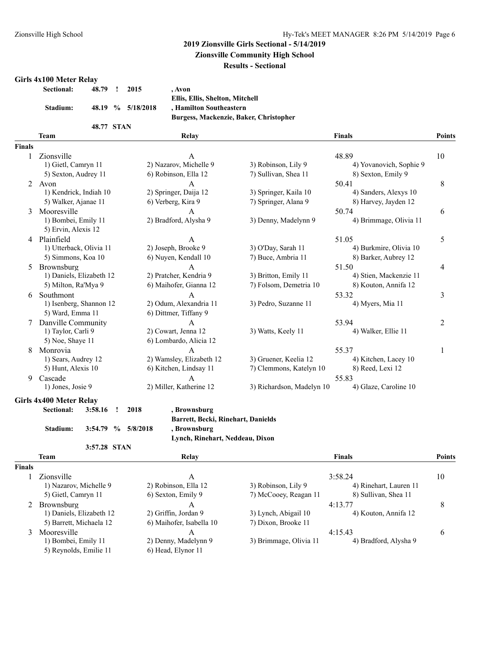**Zionsville Community High School**

**Results - Sectional**

#### **Girls 4x100 Meter Relay**

| <b>Sectional:</b> | 48.79 !    | 2015              | . Avon                                 |
|-------------------|------------|-------------------|----------------------------------------|
|                   |            |                   | Ellis, Ellis, Shelton, Mitchell        |
| Stadium:          |            | 48.19 % 5/18/2018 | , Hamilton Southeastern                |
|                   |            |                   | Burgess, Mackenzie, Baker, Christopher |
|                   | 48.77 STAN |                   |                                        |

#### **Team Relay Finals Points Finals** 1 Zionsville 1 A 48.89 10 1) Gietl, Camryn 11 2) Nazarov, Michelle 9 3) Robinson, Lily 9 4) Yovanovich, Sophie 9 5) Sexton, Audrey 11 6) Robinson, Ella 12 7) Sullivan, Shea 11 8) Sexton, Emily 9 2 Avon 8 A 50.41 8 1) Kendrick, Indiah 10 2) Springer, Daija 12 3) Springer, Kaila 10 4) Sanders, Alexys 10 5) Walker, Ajanae 11 6) Verberg, Kira 9 7) Springer, Alana 9 8) Harvey, Jayden 12 3 Mooresville 1<br>
1) Bombei, Emily 11 2) Bradford, Alysha 9 3) Denny, Madelynn 9 4) Brimmage, Olivia 11 3 3) Denny, Madelynn 9 5) Ervin, Alexis 12 4 Plainfield 51.05 5 September 2014 1 September 2014 1 St 2014 1 St 31.05 5 September 2014 1 September 2014 1 S 1) Utterback, Olivia 11 2) Joseph, Brooke 9 3) O'Day, Sarah 11 4) Burkmire, Olivia 10 5) Simmons, Koa 10 6) Nuyen, Kendall 10 7) Buce, Ambria 11 8) Barker, Aubrey 12 5 Brownsburg 11 aniels, Elizabeth 12 aniels 2) Pratcher, Kendria 9 3) Britton, Emily 11 51.50 4 51.50 4 51.50 4 51.50 4 aniels, Elizabeth 12 2) Pratcher, Kendria 9 3) Britton, Emily 11 4) Stien, Mackenzie 11 4 1) Daniels, Elizabeth 12 2) Pratcher, Kendria 9 3) Britton, Emily 11 4) Stien, Mackenzie 11 5) Milton, Ra'Mya 9 6) Maihofer, Gianna 12 7) Folsom, Demetria 10 8) Kouton, Annifa 12 6 Southmont **A** 53.32 3 1) Isenberg, Shannon 12 2) Odum, Alexandria 11 3) Pedro, Suzanne 11 4) Myers, Mia 11 5) Ward, Emma 11 6) Dittmer, Tiffany 9 7 Danville Community **A** 53.94 2 1) Taylor, Carli 9 2) Cowart, Jenna 12 3) Watts, Keely 11 4) Walker, Ellie 11 5) Noe, Shaye 11 6) Lombardo, Alicia 12 8 Monrovia A 55.37 1 1) Sears, Audrey 12 2) Wamsley, Elizabeth 12 3) Gruener, Keelia 12 4) Kitchen, Lacey 10 5) Hunt, Alexis 10 6) Kitchen, Lindsay 11 7) Clemmons, Katelyn 10 8) Reed, Lexi 12 9 Cascade A 55.83 1) Jones, Josie 9 2) Miller, Katherine 12 3) Richardson, Madelyn 10 4) Glaze, Caroline 10

# **Girls 4x400 Meter Relay**

| <b>Sectional:</b> | 3:58.16 | л. | 2018                   | , Brownsburg   |
|-------------------|---------|----|------------------------|----------------|
|                   |         |    |                        | Barrett, Becki |
| <b>Stadium:</b>   |         |    | $3:54.79$ % $5/8/2018$ | , Brownsburg   |
|                   |         |    |                        | Lynch, Rineha  |

**3:57.28 STAN**

**Barrett, Becki, Rinehart, Danields Stadium: 3:54.79 % 5/8/2018 , Brownsburg**

**Lynch, Rinehart, Neddeau, Dixon**

|               | <b>Team</b>              | Relay                    |                        | Finals                 | <b>Points</b> |
|---------------|--------------------------|--------------------------|------------------------|------------------------|---------------|
| <b>Finals</b> |                          |                          |                        |                        |               |
|               | Zionsville               | A                        |                        | 3:58.24                | 10            |
|               | 1) Nazarov, Michelle 9   | 2) Robinson, Ella 12     | 3) Robinson, Lily 9    | 4) Rinehart, Lauren 11 |               |
|               | 5) Gietl, Camryn 11      | 6) Sexton, Emily 9       | 7) McCooey, Reagan 11  | 8) Sullivan, Shea 11   |               |
|               | 2 Brownsburg             | A                        |                        | 4:13.77                | 8             |
|               | 1) Daniels, Elizabeth 12 | 2) Griffin, Jordan 9     | 3) Lynch, Abigail 10   | 4) Kouton, Annifa 12   |               |
|               | 5) Barrett, Michaela 12  | 6) Maihofer, Isabella 10 | 7) Dixon, Brooke 11    |                        |               |
| 3             | Mooresville              | A                        |                        | 4:15.43                | 6             |
|               | 1) Bombei, Emily 11      | 2) Denny, Madelynn 9     | 3) Brimmage, Olivia 11 | 4) Bradford, Alysha 9  |               |
|               | 5) Reynolds, Emilie 11   | 6) Head, Elynor 11       |                        |                        |               |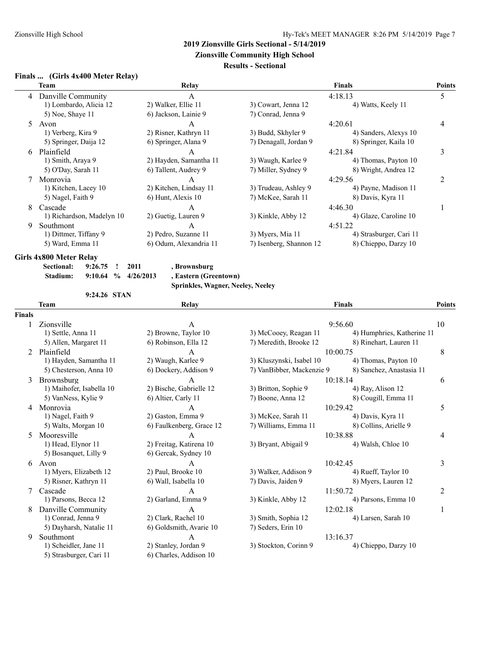**Zionsville Community High School**

#### **Results - Sectional**

#### **Finals ... (Girls 4x400 Meter Relay)**

| 5 |
|---|
|   |
|   |
|   |
| 4 |
|   |
|   |
| 3 |
|   |
|   |
| 2 |
|   |
|   |
|   |
|   |
|   |
|   |
|   |
|   |

**Girls 4x800 Meter Relay**

| Sectional: | 9:26.75 | $\mathbf{r}$ | - 2011                  | , B <sub>1</sub> |
|------------|---------|--------------|-------------------------|------------------|
| Stadium:   |         |              | $9:10.64$ % $4/26/2013$ | , E:             |

**Sectional: 9:26.75 ! 2011 , Brownsburg Stadium: 9:10.64 % 4/26/2013 , Eastern (Greentown)**

**Sprinkles, Wagner, Neeley, Neeley**

**9:24.26 STAN**

**Team Relay Finals Points Finals** 1 Zionsville 10 A 9:56.60 10 1) Settle, Anna 11 2) Browne, Taylor 10 3) McCooey, Reagan 11 4) Humphries, Katherine 11 5) Allen, Margaret 11 6) Robinson, Ella 12 7) Meredith, Brooke 12 8) Rinehart, Lauren 11 2 Plainfield  $A$   $10:00.75$  8 1) Hayden, Samantha 11 2) Waugh, Karlee 9 3) Kluszynski, Isabel 10 4) Thomas, Payton 10 5) Chesterson, Anna 10 6) Dockery, Addison 9 7) VanBibber, Mackenzie 9 8) Sanchez, Anastasia 11 3 Brownsburg A 10:18.14 6<br>1) Maihofer, Isabella 10 2) Bische, Gabrielle 12 3) Britton, Sophie 9 4) Ray, Alison 12 1) Maihofer, Isabella 10 5) VanNess, Kylie 9 6) Altier, Carly 11 7) Boone, Anna 12 8) Cougill, Emma 11 4 Monrovia 5 A 10:29.42 5 1) Nagel, Faith 9 2) Gaston, Emma 9 3) McKee, Sarah 11 4) Davis, Kyra 11 5) Walts, Morgan 10 6) Faulkenberg, Grace 12 7) Williams, Emma 11 8) Collins, Arielle 9 5 Mooresville **A** 10:38.88 4 1) Head, Elynor 11 2) Freitag, Katirena 10 3) Bryant, Abigail 9 4) Walsh, Chloe 10 5) Bosanquet, Lilly 9 6) Gercak, Sydney 10 6 Avon A 10:42.45 3 1) Myers, Elizabeth 12 2) Paul, Brooke 10 3) Walker, Addison 9 4) Rueff, Taylor 10 5) Risner, Kathryn 11 6) Wall, Isabella 10 7) Davis, Jaiden 9 8) Myers, Lauren 12 7 Cascade A 11:50.72 2 1) Parsons, Becca 12 2) Garland, Emma 9 3) Kinkle, Abby 12 4) Parsons, Emma 10 8 Danville Community 12:02.18 1<br>
1) Conrad, Jenna 9 2) Clark, Rachel 10 3) Smith, Sophia 12 4) Larsen, Sarah 10 1) Conrad, Jenna 9 5) Dayharsh, Natalie 11 6) Goldsmith, Avarie 10 7) Seders, Erin 10 9 Southmont A 13:16.37 1) Scheidler, Jane 11 2) Stanley, Jordan 9 3) Stockton, Corinn 9 4) Chieppo, Darzy 10 5) Strasburger, Cari 11 6) Charles, Addison 10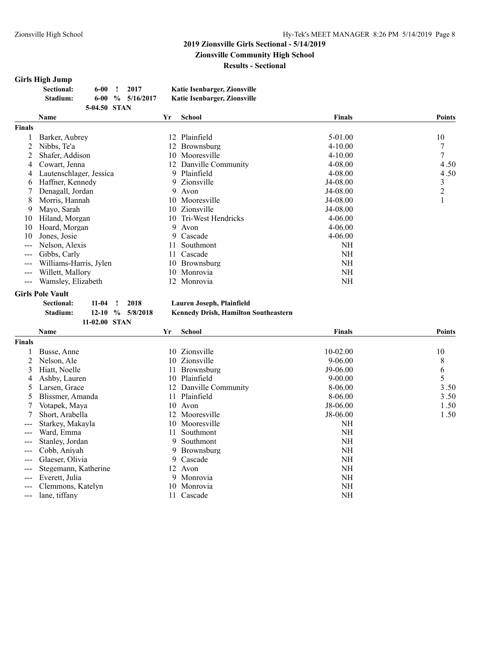#### **2019 Zionsville Girls Sectional - 5/14/2019 Zionsville Community High School Results - Sectional**

#### **Girls High Jump**

| <b>Sectional:</b> | 6-00-        | 2017                   | Katie Isenbarger, Zionsville |
|-------------------|--------------|------------------------|------------------------------|
| Stadium:          |              | $6-00\,$ % $5/16/2017$ | Katie Isenbarger, Zionsville |
|                   | 5-04.50 STAN |                        |                              |

| Name                    | Yr  | <b>School</b>     | <b>Finals</b>                                                                                                                                          | <b>Points</b>  |
|-------------------------|-----|-------------------|--------------------------------------------------------------------------------------------------------------------------------------------------------|----------------|
|                         |     |                   |                                                                                                                                                        |                |
| Barker, Aubrey          | 12. | Plainfield        | 5-01.00                                                                                                                                                | 10             |
| Nibbs, Te'a             | 12. | Brownsburg        | $4 - 10.00$                                                                                                                                            | 7              |
| Shafer, Addison         | 10  | Mooresville       | $4 - 10.00$                                                                                                                                            | 7              |
| Cowart, Jenna           | 12. |                   | $4 - 08.00$                                                                                                                                            | 4.50           |
| Lautenschlager, Jessica |     |                   | $4 - 08.00$                                                                                                                                            | 4.50           |
| Haffner, Kennedy        |     |                   | J4-08.00                                                                                                                                               | 3              |
| Denagall, Jordan        |     |                   | J4-08.00                                                                                                                                               | $\overline{2}$ |
| Morris, Hannah          |     |                   | J4-08.00                                                                                                                                               |                |
| Mayo, Sarah             |     |                   | J4-08.00                                                                                                                                               |                |
| Hiland, Morgan          |     |                   | $4 - 06.00$                                                                                                                                            |                |
| Hoard, Morgan           |     |                   | $4 - 06.00$                                                                                                                                            |                |
| Jones, Josie            |     |                   | $4 - 06.00$                                                                                                                                            |                |
| Nelson, Alexis          | 11. | Southmont         | NH                                                                                                                                                     |                |
| Gibbs, Carly            |     | Cascade           | NH                                                                                                                                                     |                |
| Williams-Harris, Jylen  | 10  | <b>Brownsburg</b> | NH                                                                                                                                                     |                |
| Willett, Mallory        | 10  | Monrovia          | NH                                                                                                                                                     |                |
| Wamsley, Elizabeth      | 12. | Monrovia          | NH                                                                                                                                                     |                |
|                         |     |                   | Danville Community<br>9 Plainfield<br>9 Zionsville<br>9 Avon<br>10 Mooresville<br>10 Zionsville<br>10 Tri-West Hendricks<br>9 Avon<br>9 Cascade<br>11- |                |

# **Girls Pole Vault**

#### **Sectional: 11-04 ! 2018 Lauren Joseph, Plainfield**

**Stadium: 12-10 % 5/8/2018 Kennedy Drish, Hamilton Southeastern**

|                        | 11-02.00 STAN        |     |                    |               |               |
|------------------------|----------------------|-----|--------------------|---------------|---------------|
|                        | Name                 | Yr  | School             | <b>Finals</b> | <b>Points</b> |
| <b>Finals</b>          |                      |     |                    |               |               |
|                        | Busse, Anne          | 10  | Zionsville         | $10 - 02.00$  | 10            |
| 2                      | Nelson, Ale          |     | 10 Zionsville      | $9 - 06.00$   | 8             |
| 3                      | Hiatt, Noelle        | 11. | <b>Brownsburg</b>  | $J9-06.00$    | 6             |
| 4                      | Ashby, Lauren        | 10  | Plainfield         | $9 - 00.00$   | 5             |
| $\mathcal{D}$          | Larsen, Grace        |     | Danville Community | 8-06.00       | 3.50          |
| Ć.                     | Blissmer, Amanda     | 11  | Plainfield         | 8-06.00       | 3.50          |
|                        | Votapek, Maya        | 10  | Avon               | $J8-06.00$    | 1.50          |
|                        | Short, Arabella      | 12  | Mooresville        | J8-06.00      | 1.50          |
| ---                    | Starkey, Makayla     |     | 10 Mooresville     | NH            |               |
| $---$                  | Ward, Emma           | 11  | Southmont          | NH            |               |
|                        | Stanley, Jordan      | 9.  | Southmont          | NH            |               |
| $\qquad \qquad \cdots$ | Cobb, Aniyah         |     | 9 Brownsburg       | NH            |               |
| ---                    | Glaeser, Olivia      | 9.  | Cascade            | NH            |               |
| ---                    | Stegemann, Katherine |     | 12 Avon            | <b>NH</b>     |               |
| $\qquad \qquad -$      | Everett, Julia       |     | 9 Monrovia         | <b>NH</b>     |               |
| $--$                   | Clemmons, Katelyn    |     | 10 Monrovia        | NH            |               |
| $\qquad \qquad - -$    | lane, tiffany        |     | 11 Cascade         | NH            |               |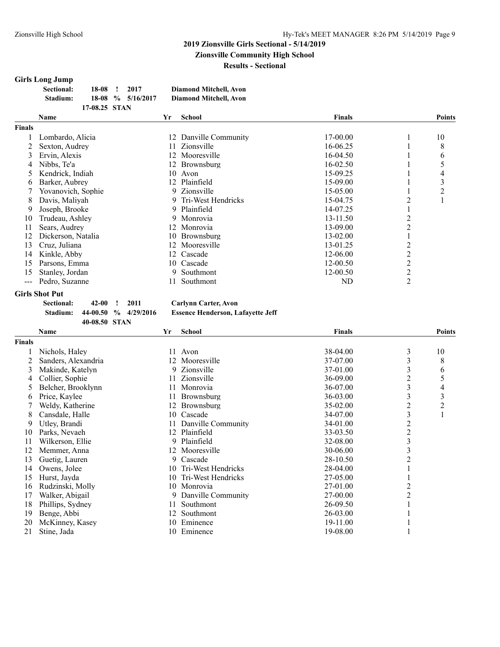### **2019 Zionsville Girls Sectional - 5/14/2019 Zionsville Community High School**

**Results - Sectional**

## **Girls Long Jump**

| Sectional: | 18-08         | 2017                  | <b>Diamond Mitchell, Avon</b> |
|------------|---------------|-----------------------|-------------------------------|
| Stadium:   |               | $18-08$ % $5/16/2017$ | Diamond Mitchell, Avon        |
|            | 17-08.25 STAN |                       |                               |

|               | <b>Name</b>        | Yr  | <b>School</b>        | <b>Finals</b> |                | <b>Points</b> |
|---------------|--------------------|-----|----------------------|---------------|----------------|---------------|
| <b>Finals</b> |                    |     |                      |               |                |               |
|               | Lombardo, Alicia   | 12  | Danville Community   | 17-00.00      |                | 10            |
|               | Sexton, Audrey     |     | Zionsville           | 16-06.25      |                | 8             |
| 3             | Ervin, Alexis      |     | Mooresville          | 16-04.50      |                | 6             |
| 4             | Nibbs, Te'a        | 12  | Brownsburg           | 16-02.50      |                | 5             |
| 5             | Kendrick, Indiah   | 10  | Avon                 | 15-09.25      |                | 4             |
| <sub>b</sub>  | Barker, Aubrev     | 12  | Plainfield           | 15-09.00      |                | 3             |
|               | Yovanovich, Sophie |     | 9 Zionsville         | 15-05.00      |                | 2             |
| 8             | Davis, Maliyah     |     | 9 Tri-West Hendricks | 15-04.75      | 2              |               |
| 9             | Joseph, Brooke     |     | 9 Plainfield         | 14-07.25      |                |               |
| 10            | Trudeau, Ashley    |     | 9 Monrovia           | 13-11.50      |                |               |
| 11            | Sears, Audrey      |     | 12 Monrovia          | 13-09.00      | 2              |               |
| 12            | Dickerson, Natalia | 10  | Brownsburg           | $13 - 02.00$  |                |               |
| 13            | Cruz, Juliana      | 12  | Mooresville          | 13-01.25      | 2              |               |
| 14            | Kinkle, Abby       | 12. | Cascade              | 12-06.00      | 2              |               |
| 15            | Parsons, Emma      | 10- | Cascade              | 12-00.50      | 2              |               |
| 15            | Stanley, Jordan    |     | Southmont            | 12-00.50      | 2              |               |
| ---           | Pedro, Suzanne     |     | Southmont            | ND            | $\overline{2}$ |               |

# **Girls Shot Put**

**Sectional: 42-00 ! 2011 Carlynn Carter, Avon**

**40-08.50 STAN**

**Stadium: 44-00.50 % 4/29/2016 Essence Henderson, Lafayette Jeff**

|        | Name                | Yr | <b>School</b>      | <b>Finals</b> |                | Points |
|--------|---------------------|----|--------------------|---------------|----------------|--------|
| Finals |                     |    |                    |               |                |        |
|        | Nichols, Haley      | 11 | Avon               | 38-04.00      | 3              | 10     |
|        | Sanders, Alexandria | 12 | Mooresville        | 37-07.00      | 3              | 8      |
| 3      | Makinde, Katelyn    |    | 9 Zionsville       | 37-01.00      | 3              | 6      |
| 4      | Collier, Sophie     | 11 | Zionsville         | 36-09.00      | 2              | 5      |
| 5      | Belcher, Brooklynn  | 11 | Monrovia           | 36-07.00      | 3              | 4      |
| 6      | Price, Kaylee       | 11 | Brownsburg         | 36-03.00      | 3              | 3      |
|        | Weldy, Katherine    | 12 | Brownsburg         | $35 - 02.00$  | 2              | 2      |
| 8      | Cansdale, Halle     | 10 | Cascade            | 34-07.00      | 3              | 1      |
| 9      | Utley, Brandi       | 11 | Danville Community | 34-01.00      | 2              |        |
| 10     | Parks, Nevaeh       | 12 | Plainfield         | 33-03.50      | $\overline{c}$ |        |
| 11     | Wilkerson, Ellie    | 9. | Plainfield         | 32-08.00      | 3              |        |
| 12     | Memmer, Anna        | 12 | Mooresville        | 30-06.00      | 3              |        |
| 13     | Guetig, Lauren      | 9  | Cascade            | 28-10.50      | 2              |        |
| 14     | Owens, Jolee        | 10 | Tri-West Hendricks | 28-04.00      |                |        |
| 15     | Hurst, Jayda        | 10 | Tri-West Hendricks | 27-05.00      |                |        |
| 16     | Rudzinski, Molly    | 10 | Monrovia           | 27-01.00      | $\overline{2}$ |        |
| 17     | Walker, Abigail     | 9. | Danville Community | 27-00.00      | 2              |        |
| 18     | Phillips, Sydney    | 11 | Southmont          | 26-09.50      |                |        |
| 19     | Benge, Abbi         | 12 | Southmont          | 26-03.00      |                |        |
| 20     | McKinney, Kasey     | 10 | Eminence           | 19-11.00      |                |        |
| 21     | Stine, Jada         | 10 | Eminence           | 19-08.00      |                |        |